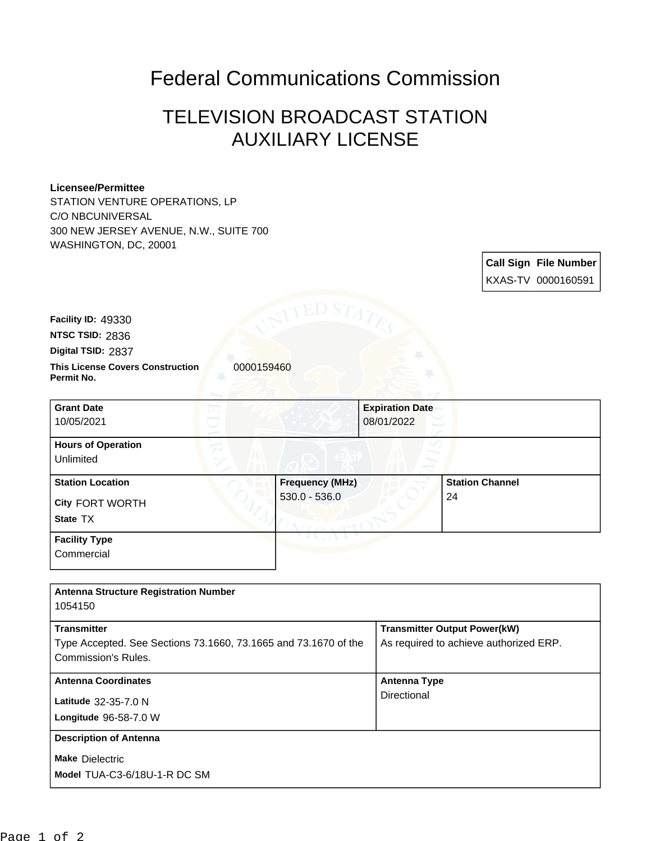## Federal Communications Commission

## TELEVISION BROADCAST STATION AUXILIARY LICENSE

## **Licensee/Permittee**

STATION VENTURE OPERATIONS, LP C/O NBCUNIVERSAL 300 NEW JERSEY AVENUE, N.W., SUITE 700 WASHINGTON, DC, 20001

| Call Sign File Number |
|-----------------------|
| KXAS-TV 0000160591    |

**Facility ID:** 49330

**NTSC TSID:** 2836

**Digital TSID:** 2837

**This License Covers Construction 0000159460 Permit No.**

| <b>Grant Date</b><br>10/05/2021                        | <b>Expiration Date</b><br>08/01/2022      |                              |
|--------------------------------------------------------|-------------------------------------------|------------------------------|
| <b>Hours of Operation</b><br>Unlimited                 |                                           |                              |
| <b>Station Location</b><br>City FORT WORTH<br>State TX | <b>Frequency (MHz)</b><br>$530.0 - 536.0$ | <b>Station Channel</b><br>24 |
| <b>Facility Type</b><br>Commercial                     |                                           |                              |

| <b>Antenna Structure Registration Number</b><br>1054150         |                                        |
|-----------------------------------------------------------------|----------------------------------------|
|                                                                 |                                        |
| <b>Transmitter</b>                                              | <b>Transmitter Output Power(kW)</b>    |
| Type Accepted. See Sections 73.1660, 73.1665 and 73.1670 of the | As required to achieve authorized ERP. |
| Commission's Rules.                                             |                                        |
| <b>Antenna Coordinates</b>                                      | <b>Antenna Type</b>                    |
| Latitude 32-35-7.0 N                                            | Directional                            |
| <b>Longitude 96-58-7.0 W</b>                                    |                                        |
| <b>Description of Antenna</b>                                   |                                        |
| <b>Make Dielectric</b>                                          |                                        |
| Model TUA-C3-6/18U-1-R DC SM                                    |                                        |